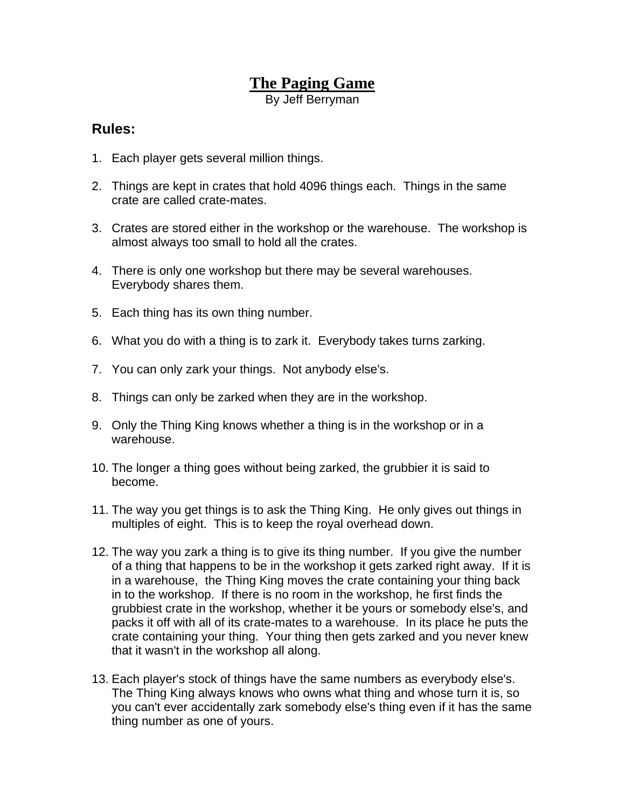## **The Paging Game**

By Jeff Berryman

## **Rules:**

- 1. Each player gets several million things.
- 2. Things are kept in crates that hold 4096 things each. Things in the same crate are called crate-mates.
- 3. Crates are stored either in the workshop or the warehouse. The workshop is almost always too small to hold all the crates.
- 4. There is only one workshop but there may be several warehouses. Everybody shares them.
- 5. Each thing has its own thing number.
- 6. What you do with a thing is to zark it. Everybody takes turns zarking.
- 7. You can only zark your things. Not anybody else's.
- 8. Things can only be zarked when they are in the workshop.
- 9. Only the Thing King knows whether a thing is in the workshop or in a warehouse.
- 10. The longer a thing goes without being zarked, the grubbier it is said to become.
- 11. The way you get things is to ask the Thing King. He only gives out things in multiples of eight. This is to keep the royal overhead down.
- 12. The way you zark a thing is to give its thing number. If you give the number of a thing that happens to be in the workshop it gets zarked right away. If it is in a warehouse, the Thing King moves the crate containing your thing back in to the workshop. If there is no room in the workshop, he first finds the grubbiest crate in the workshop, whether it be yours or somebody else's, and packs it off with all of its crate-mates to a warehouse. In its place he puts the crate containing your thing. Your thing then gets zarked and you never knew that it wasn't in the workshop all along.
- 13. Each player's stock of things have the same numbers as everybody else's. The Thing King always knows who owns what thing and whose turn it is, so you can't ever accidentally zark somebody else's thing even if it has the same thing number as one of yours.